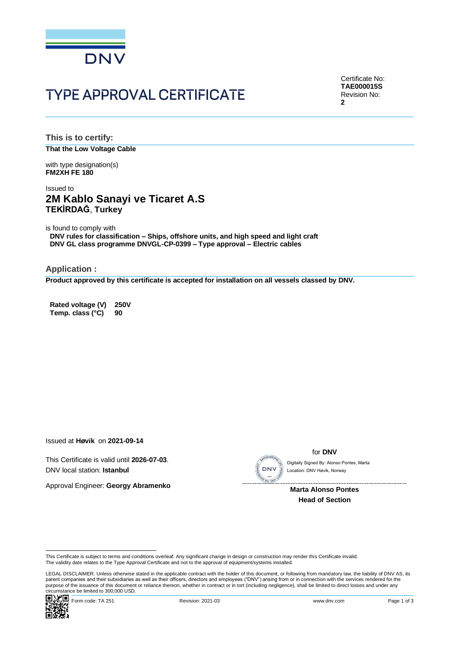

# **TYPE APPROVAL CERTIFICATE**

Certificate No: **TAE000015S** Revision No: **2**

**This is to certify: That the Low Voltage Cable**

with type designation(s) **FM2XH FE 180**

## Issued to **2M Kablo Sanayi ve Ticaret A.S TEKİRDAĞ**, **Turkey**

is found to comply with

**DNV rules for classification – Ships, offshore units, and high speed and light craft DNV GL class programme DNVGL-CP-0399 – Type approval – Electric cables**

**Application :**

**Product approved by this certificate is accepted for installation on all vessels classed by DNV.**

**Rated voltage (V) 250V Temp. class (°C) 90**

Issued at **Høvik** on **2021-09-14**

This Certificate is valid until **2026-07-03**. DNV local station: **Istanbul**

Approval Engineer: **Georgy Abramenko**



for **DNV**

Location: DNV Høvik, Norway

**Marta Alonso Pontes Head of Section**

This Certificate is subject to terms and conditions overleaf. Any significant change in design or construction may render this Certificate invalid.<br>The validity date relates to the Type Approval Certificate and not to the

Circumstance be immedial bookbook book.<br>■ Will Form code: TA 251 Revision: 2021-03 www.dnv.com Page 1 of 3 LEGAL DISCLAIMER: Unless otherwise stated in the applicable contract with the holder of this document, or following from mandatory law, the liability of DNV AS, its parent companies and their subsidiaries as well as their officers, directors and employees ("DNV") arising from or in connection with the services rendered for the purpose of the issuance of this document or reliance thereon, whether in contract or in tort (including negligence), shall be limited to direct losses and under any purpose of the issuance of this document or reliance ther Circumstance be limited to 300,000 USD.<br>
Circumstance be limited to 30,000 USD.<br>
Circumstance be limited to 300,000 USD.<br>
Circumstance be limited to 30,000 USD.<br>
Circumstance be limited to 30,000 USD.<br>
Circumstance be limi

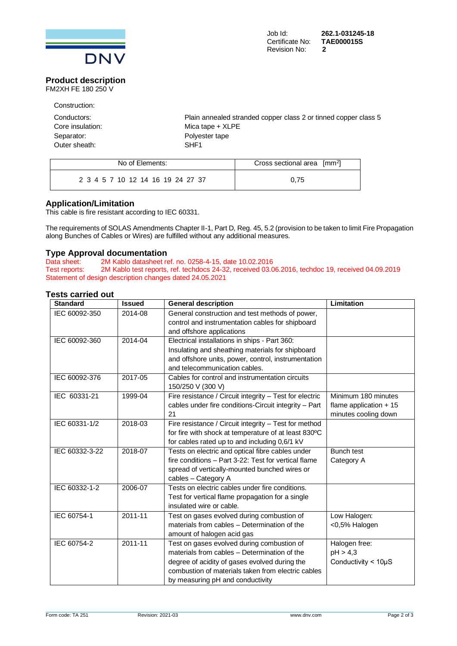

#### **Product description** FM2XH FE 180 250 V

| Construction:    |                                                                 |
|------------------|-----------------------------------------------------------------|
| Conductors:      | Plain annealed stranded copper class 2 or tinned copper class 5 |
| Core insulation: | Mica tape $+$ XLPE                                              |
| Separator:       | Polyester tape                                                  |
| Outer sheath:    | SHF <sub>1</sub>                                                |

| No of Elements:                   | Cross sectional area $\lceil mm^2 \rceil$ |  |  |
|-----------------------------------|-------------------------------------------|--|--|
| 2 3 4 5 7 10 12 14 16 19 24 27 37 | 0.75                                      |  |  |

### **Application/Limitation**

This cable is fire resistant according to IEC 60331.

The requirements of SOLAS Amendments Chapter II-1, Part D, Reg. 45, 5.2 (provision to be taken to limit Fire Propagation along Bunches of Cables or Wires) are fulfilled without any additional measures.

# **Type Approval documentation**<br>Data sheet: 2M Kablo datasheet re

Data sheet: 2M Kablo datasheet ref. no. 0258-4-15, date 10.02.2016<br>Test reports: 2M Kablo test reports, ref. techdocs 24-32, received 03.0 2M Kablo test reports, ref. techdocs 24-32, received 03.06.2016, techdoc 19, received 04.09.2019 Statement of design description changes dated 24.05.2021

### **Tests carried out**

| <b>Standard</b> | <b>Issued</b> | <b>General description</b>                                                                                                                                                                                                            | Limitation                                                             |
|-----------------|---------------|---------------------------------------------------------------------------------------------------------------------------------------------------------------------------------------------------------------------------------------|------------------------------------------------------------------------|
| IEC 60092-350   | 2014-08       | General construction and test methods of power,<br>control and instrumentation cables for shipboard<br>and offshore applications                                                                                                      |                                                                        |
| IEC 60092-360   | 2014-04       | Electrical installations in ships - Part 360:<br>Insulating and sheathing materials for shipboard<br>and offshore units, power, control, instrumentation<br>and telecommunication cables.                                             |                                                                        |
| IEC 60092-376   | 2017-05       | Cables for control and instrumentation circuits<br>150/250 V (300 V)                                                                                                                                                                  |                                                                        |
| IEC 60331-21    | 1999-04       | Fire resistance / Circuit integrity - Test for electric<br>cables under fire conditions-Circuit integrity - Part<br>21                                                                                                                | Minimum 180 minutes<br>flame application $+15$<br>minutes cooling down |
| IEC 60331-1/2   | 2018-03       | Fire resistance / Circuit integrity - Test for method<br>for fire with shock at temperature of at least 830°C<br>for cables rated up to and including 0,6/1 kV                                                                        |                                                                        |
| IEC 60332-3-22  | 2018-07       | Tests on electric and optical fibre cables under<br>fire conditions - Part 3-22: Test for vertical flame<br>spread of vertically-mounted bunched wires or<br>cables - Category A                                                      | <b>Bunch test</b><br>Category A                                        |
| IEC 60332-1-2   | 2006-07       | Tests on electric cables under fire conditions.<br>Test for vertical flame propagation for a single<br>insulated wire or cable.                                                                                                       |                                                                        |
| IEC 60754-1     | 2011-11       | Test on gases evolved during combustion of<br>materials from cables - Determination of the<br>amount of halogen acid gas                                                                                                              | Low Halogen:<br><0,5% Halogen                                          |
| IEC 60754-2     | $2011 - 11$   | Test on gases evolved during combustion of<br>materials from cables - Determination of the<br>degree of acidity of gases evolved during the<br>combustion of materials taken from electric cables<br>by measuring pH and conductivity | Halogen free:<br>pH > 4.3<br>Conductivity $<$ 10 $\mu$ S               |